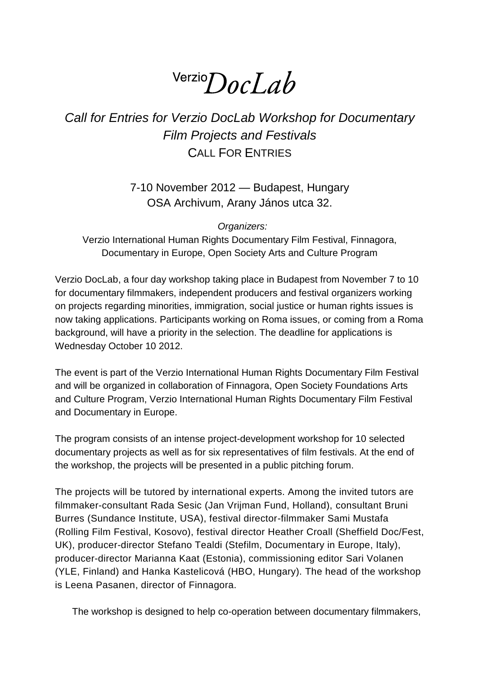# $V$ erzio $DocLab$

# *Call for Entries for Verzio DocLab Workshop for Documentary Film Projects and Festivals* CALL FOR ENTRIES

7-10 November 2012 — Budapest, Hungary OSA Archivum, Arany János utca 32.

*Organizers:*

Verzio International Human Rights Documentary Film Festival, Finnagora, Documentary in Europe, Open Society Arts and Culture Program

Verzio DocLab, a four day workshop taking place in Budapest from November 7 to 10 for documentary filmmakers, independent producers and festival organizers working on projects regarding minorities, immigration, social justice or human rights issues is now taking applications. Participants working on Roma issues, or coming from a Roma background, will have a priority in the selection. The deadline for applications is Wednesday October 10 2012.

The event is part of the Verzio International Human Rights Documentary Film Festival and will be organized in collaboration of Finnagora, Open Society Foundations Arts and Culture Program, Verzio International Human Rights Documentary Film Festival and Documentary in Europe.

The program consists of an intense project-development workshop for 10 selected documentary projects as well as for six representatives of film festivals. At the end of the workshop, the projects will be presented in a public pitching forum.

The projects will be tutored by international experts. Among the invited tutors are filmmaker-consultant Rada Sesic (Jan Vrijman Fund, Holland), consultant Bruni Burres (Sundance Institute, USA), festival director-filmmaker Sami Mustafa (Rolling Film Festival, Kosovo), festival director Heather Croall (Sheffield Doc/Fest, UK), producer-director Stefano Tealdi (Stefilm, Documentary in Europe, Italy), producer-director Marianna Kaat (Estonia), commissioning editor Sari Volanen (YLE, Finland) and Hanka Kastelicová (HBO, Hungary). The head of the workshop is Leena Pasanen, director of Finnagora.

The workshop is designed to help co-operation between documentary filmmakers,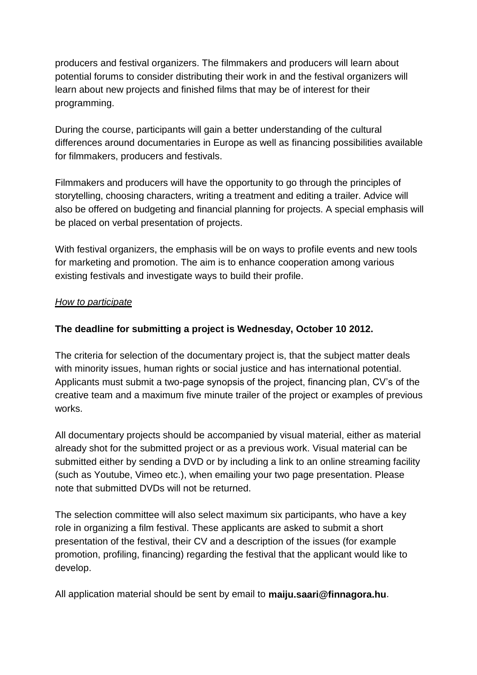producers and festival organizers. The filmmakers and producers will learn about potential forums to consider distributing their work in and the festival organizers will learn about new projects and finished films that may be of interest for their programming.

During the course, participants will gain a better understanding of the cultural differences around documentaries in Europe as well as financing possibilities available for filmmakers, producers and festivals.

Filmmakers and producers will have the opportunity to go through the principles of storytelling, choosing characters, writing a treatment and editing a trailer. Advice will also be offered on budgeting and financial planning for projects. A special emphasis will be placed on verbal presentation of projects.

With festival organizers, the emphasis will be on ways to profile events and new tools for marketing and promotion. The aim is to enhance cooperation among various existing festivals and investigate ways to build their profile.

#### *How to participate*

### **The deadline for submitting a project is Wednesday, October 10 2012.**

The criteria for selection of the documentary project is, that the subject matter deals with minority issues, human rights or social justice and has international potential. Applicants must submit a two-page synopsis of the project, financing plan, CV's of the creative team and a maximum five minute trailer of the project or examples of previous works.

All documentary projects should be accompanied by visual material, either as material already shot for the submitted project or as a previous work. Visual material can be submitted either by sending a DVD or by including a link to an online streaming facility (such as Youtube, Vimeo etc.), when emailing your two page presentation. Please note that submitted DVDs will not be returned.

The selection committee will also select maximum six participants, who have a key role in organizing a film festival. These applicants are asked to submit a short presentation of the festival, their CV and a description of the issues (for example promotion, profiling, financing) regarding the festival that the applicant would like to develop.

All application material should be sent by email to **maiju.saari@finnagora.hu**.